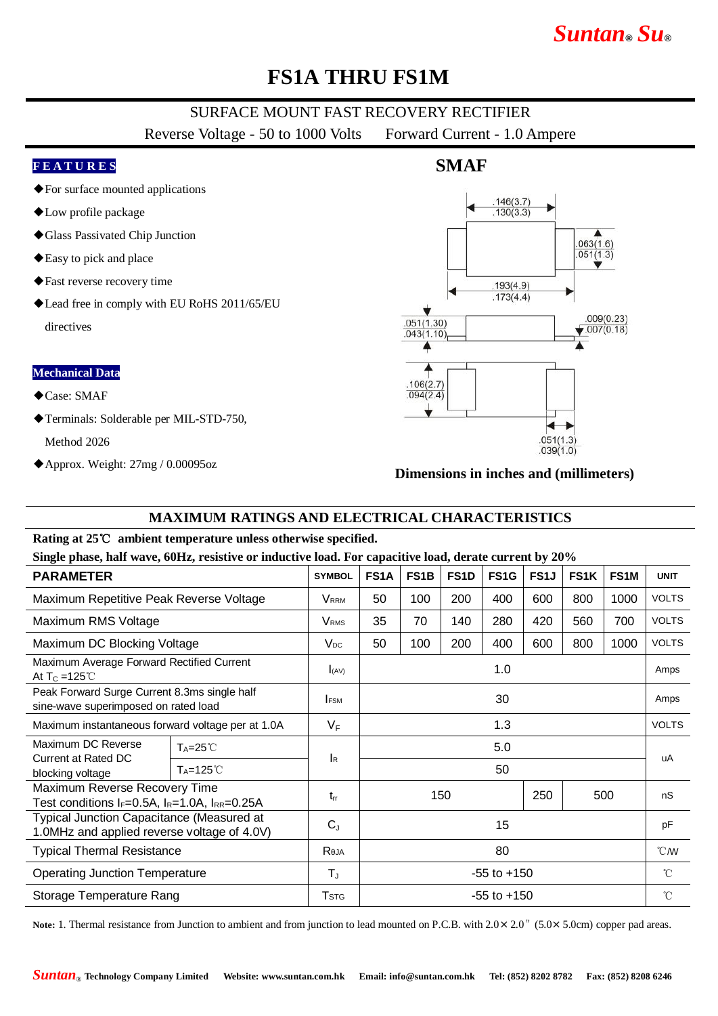# *Suntan***®** *Su***®**

## **FS1A THRU FS1M**

### SURFACE MOUNT FAST RECOVERY RECTIFIER

Reverse Voltage - 50 to 1000 Volts Forward Current - 1.0 Ampere

#### **F E A T U R E S**

- ◆For surface mounted applications
- ◆Low profile package
- ◆Glass Passivated Chip Junction
- ◆Easy to pick and place
- ◆Fast reverse recovery time
- ◆Lead free in comply with EU RoHS 2011/65/EU directives

#### **Mechanical Data**

- ◆Case: SMAF
- ◆Terminals: Solderable per MIL-STD-750,

Method 2026

◆Approx. Weight: 27mg / 0.00095oz

### **SMAF**



#### **Dimensions in inches and (millimeters)**

### **MAXIMUM RATINGS AND ELECTRICAL CHARACTERISTICS**

#### **Rating at 25**℃ **ambient temperature unless otherwise specified.**

**Single phase, half wave, 60Hz, resistive or inductive load. For capacitive load, derate current by 20%**

| $\mu$ , $\mu$ , $\mu$ , $\mu$ , $\mu$ , $\mu$ , $\mu$ , $\mu$ , $\mu$ , $\mu$ , $\mu$ , $\mu$ , $\mu$ , $\mu$ , $\mu$ , $\mu$ , $\mu$ , $\mu$ , $\mu$ , $\mu$ , $\mu$<br><b>PARAMETER</b> |                      | <b>SYMBOL</b>           | <b>FS1A</b>     | FS <sub>1</sub> B | FS <sub>1</sub> D | FS <sub>1</sub> G | FS <sub>1</sub> J | <b>FS1K</b> | FS <sub>1</sub> M | <b>UNIT</b>   |
|-------------------------------------------------------------------------------------------------------------------------------------------------------------------------------------------|----------------------|-------------------------|-----------------|-------------------|-------------------|-------------------|-------------------|-------------|-------------------|---------------|
| Maximum Repetitive Peak Reverse Voltage                                                                                                                                                   |                      | <b>VRRM</b>             | 50              | 100               | 200               | 400               | 600               | 800         | 1000              | <b>VOLTS</b>  |
| Maximum RMS Voltage                                                                                                                                                                       |                      | <b>V</b> <sub>RMS</sub> | 35              | 70                | 140               | 280               | 420               | 560         | 700               | <b>VOLTS</b>  |
| Maximum DC Blocking Voltage                                                                                                                                                               |                      | $V_{DC}$                | 50              | 100               | 200               | 400               | 600               | 800         | 1000              | <b>VOLTS</b>  |
| Maximum Average Forward Rectified Current<br>At $T_c = 125^{\circ}$ C                                                                                                                     |                      | I(AV)                   | 1.0             |                   |                   |                   |                   |             |                   | Amps          |
| Peak Forward Surge Current 8.3ms single half<br>sine-wave superimposed on rated load                                                                                                      |                      | <b>IFSM</b>             | 30              |                   |                   |                   |                   |             |                   | Amps          |
| Maximum instantaneous forward voltage per at 1.0A                                                                                                                                         |                      | $V_F$                   | 1.3             |                   |                   |                   |                   |             |                   | <b>VOLTS</b>  |
| Maximum DC Reverse                                                                                                                                                                        | $T_A = 25^{\circ}C$  |                         | 5.0             |                   |                   |                   |                   |             |                   | uA            |
| Current at Rated DC<br>blocking voltage                                                                                                                                                   | $T_A = 125^{\circ}C$ | <b>I</b> R              | 50              |                   |                   |                   |                   |             |                   |               |
| Maximum Reverse Recovery Time<br>Test conditions $I_F=0.5A$ , $I_R=1.0A$ , $I_{RR}=0.25A$                                                                                                 |                      | $t_{rr}$                | 150             |                   |                   | 250               | 500               |             | nS                |               |
| <b>Typical Junction Capacitance (Measured at</b><br>1.0MHz and applied reverse voltage of 4.0V)                                                                                           |                      | $C_{J}$                 | 15              |                   |                   |                   |                   |             |                   | pF            |
| <b>Typical Thermal Resistance</b>                                                                                                                                                         |                      | Reja                    | 80              |                   |                   |                   |                   |             |                   | $^{\circ}$ CM |
| <b>Operating Junction Temperature</b>                                                                                                                                                     |                      | $T_{\text{J}}$          | $-55$ to $+150$ |                   |                   |                   |                   |             |                   | $^{\circ}$ C  |
| Storage Temperature Rang                                                                                                                                                                  |                      | $\mathsf{T}$ stg        | $-55$ to $+150$ |                   |                   |                   |                   |             |                   | $^{\circ}$ C  |

Note: 1. Thermal resistance from Junction to ambient and from junction to lead mounted on P.C.B. with  $2.0 \times 2.0$ <sup>"</sup> (5.0×5.0cm) copper pad areas.